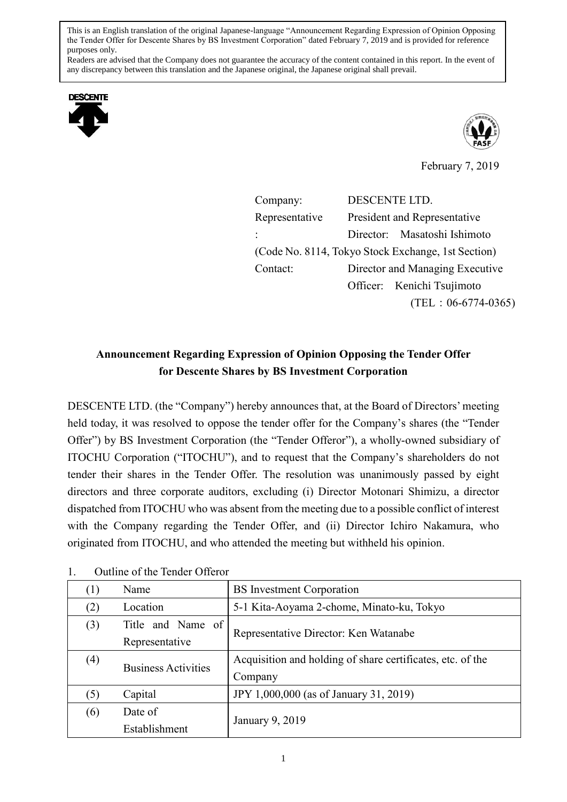This is an English translation of the original Japanese-language "Announcement Regarding Expression of Opinion Opposing the Tender Offer for Descente Shares by BS Investment Corporation" dated February 7, 2019 and is provided for reference purposes only.

Readers are advised that the Company does not guarantee the accuracy of the content contained in this report. In the event of any discrepancy between this translation and the Japanese original, the Japanese original shall prevail.





February 7, 2019

Company: DESCENTE LTD. Representative : President and Representative Director: Masatoshi Ishimoto (Code No. 8114, Tokyo Stock Exchange, 1st Section) Contact: Director and Managing Executive Officer: Kenichi Tsujimoto (TEL:06-6774-0365)

## **Announcement Regarding Expression of Opinion Opposing the Tender Offer for Descente Shares by BS Investment Corporation**

DESCENTE LTD. (the "Company") hereby announces that, at the Board of Directors' meeting held today, it was resolved to oppose the tender offer for the Company's shares (the "Tender Offer") by BS Investment Corporation (the "Tender Offeror"), a wholly-owned subsidiary of ITOCHU Corporation ("ITOCHU"), and to request that the Company's shareholders do not tender their shares in the Tender Offer. The resolution was unanimously passed by eight directors and three corporate auditors, excluding (i) Director Motonari Shimizu, a director dispatched from ITOCHU who was absent from the meeting due to a possible conflict of interest with the Company regarding the Tender Offer, and (ii) Director Ichiro Nakamura, who originated from ITOCHU, and who attended the meeting but withheld his opinion.

| (1) | Name                       | <b>BS</b> Investment Corporation                           |
|-----|----------------------------|------------------------------------------------------------|
| (2) | Location                   | 5-1 Kita-Aoyama 2-chome, Minato-ku, Tokyo                  |
| (3) | Title and Name of          | Representative Director: Ken Watanabe                      |
|     | Representative             |                                                            |
| (4) | <b>Business Activities</b> | Acquisition and holding of share certificates, etc. of the |
|     |                            | Company                                                    |
| (5) | Capital                    | JPY 1,000,000 (as of January 31, 2019)                     |
| (6) | Date of                    | January 9, 2019                                            |
|     | Establishment              |                                                            |

1. Outline of the Tender Offeror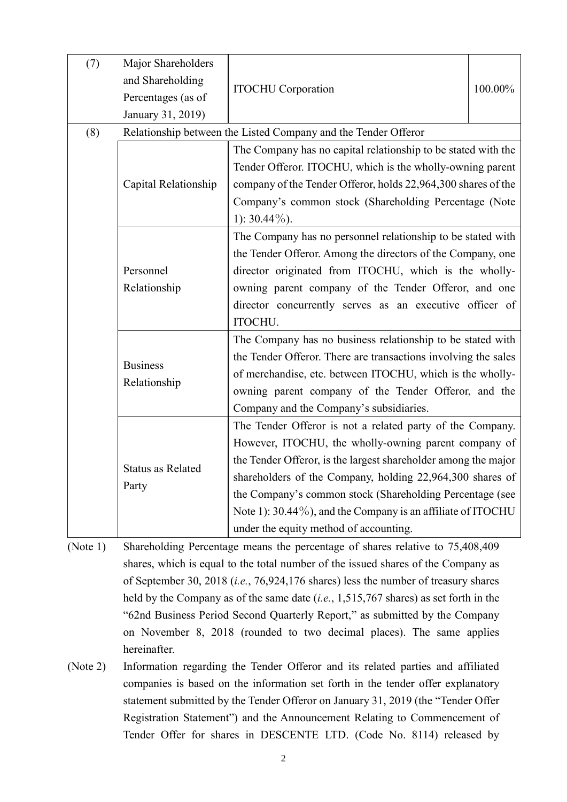| (7) | Major Shareholders<br>and Shareholding<br>Percentages (as of<br>January 31, 2019) | <b>ITOCHU</b> Corporation                                      | 100.00% |  |
|-----|-----------------------------------------------------------------------------------|----------------------------------------------------------------|---------|--|
| (8) | Relationship between the Listed Company and the Tender Offeror                    |                                                                |         |  |
|     | Capital Relationship                                                              | The Company has no capital relationship to be stated with the  |         |  |
|     |                                                                                   | Tender Offeror. ITOCHU, which is the wholly-owning parent      |         |  |
|     |                                                                                   | company of the Tender Offeror, holds 22,964,300 shares of the  |         |  |
|     |                                                                                   | Company's common stock (Shareholding Percentage (Note          |         |  |
|     |                                                                                   | 1): $30.44\%$ ).                                               |         |  |
|     | Personnel                                                                         | The Company has no personnel relationship to be stated with    |         |  |
|     |                                                                                   | the Tender Offeror. Among the directors of the Company, one    |         |  |
|     |                                                                                   | director originated from ITOCHU, which is the wholly-          |         |  |
|     | Relationship                                                                      | owning parent company of the Tender Offeror, and one           |         |  |
|     |                                                                                   | director concurrently serves as an executive officer of        |         |  |
|     |                                                                                   | ITOCHU.                                                        |         |  |
|     |                                                                                   | The Company has no business relationship to be stated with     |         |  |
|     |                                                                                   | the Tender Offeror. There are transactions involving the sales |         |  |
|     | <b>Business</b>                                                                   | of merchandise, etc. between ITOCHU, which is the wholly-      |         |  |
|     | Relationship                                                                      | owning parent company of the Tender Offeror, and the           |         |  |
|     |                                                                                   | Company and the Company's subsidiaries.                        |         |  |
|     | <b>Status as Related</b><br>Party                                                 | The Tender Offeror is not a related party of the Company.      |         |  |
|     |                                                                                   | However, ITOCHU, the wholly-owning parent company of           |         |  |
|     |                                                                                   | the Tender Offeror, is the largest shareholder among the major |         |  |
|     |                                                                                   | shareholders of the Company, holding 22,964,300 shares of      |         |  |
|     |                                                                                   | the Company's common stock (Shareholding Percentage (see       |         |  |
|     |                                                                                   | Note 1): 30.44%), and the Company is an affiliate of ITOCHU    |         |  |
|     |                                                                                   | under the equity method of accounting.                         |         |  |
|     |                                                                                   |                                                                |         |  |

(Note 1) Shareholding Percentage means the percentage of shares relative to 75,408,409 shares, which is equal to the total number of the issued shares of the Company as of September 30, 2018 (*i.e.*, 76,924,176 shares) less the number of treasury shares held by the Company as of the same date (*i.e.*, 1,515,767 shares) as set forth in the "62nd Business Period Second Quarterly Report," as submitted by the Company on November 8, 2018 (rounded to two decimal places). The same applies hereinafter.

(Note 2) Information regarding the Tender Offeror and its related parties and affiliated companies is based on the information set forth in the tender offer explanatory statement submitted by the Tender Offeror on January 31, 2019 (the "Tender Offer Registration Statement") and the Announcement Relating to Commencement of Tender Offer for shares in DESCENTE LTD. (Code No. 8114) released by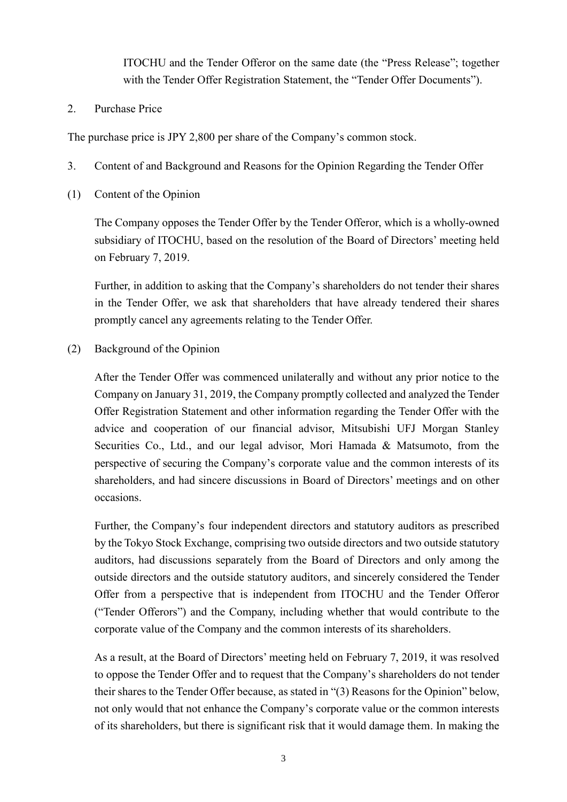ITOCHU and the Tender Offeror on the same date (the "Press Release"; together with the Tender Offer Registration Statement, the "Tender Offer Documents").

2. Purchase Price

The purchase price is JPY 2,800 per share of the Company's common stock.

- 3. Content of and Background and Reasons for the Opinion Regarding the Tender Offer
- (1) Content of the Opinion

The Company opposes the Tender Offer by the Tender Offeror, which is a wholly-owned subsidiary of ITOCHU, based on the resolution of the Board of Directors' meeting held on February 7, 2019.

Further, in addition to asking that the Company's shareholders do not tender their shares in the Tender Offer, we ask that shareholders that have already tendered their shares promptly cancel any agreements relating to the Tender Offer.

(2) Background of the Opinion

After the Tender Offer was commenced unilaterally and without any prior notice to the Company on January 31, 2019, the Company promptly collected and analyzed the Tender Offer Registration Statement and other information regarding the Tender Offer with the advice and cooperation of our financial advisor, Mitsubishi UFJ Morgan Stanley Securities Co., Ltd., and our legal advisor, Mori Hamada & Matsumoto, from the perspective of securing the Company's corporate value and the common interests of its shareholders, and had sincere discussions in Board of Directors' meetings and on other occasions.

Further, the Company's four independent directors and statutory auditors as prescribed by the Tokyo Stock Exchange, comprising two outside directors and two outside statutory auditors, had discussions separately from the Board of Directors and only among the outside directors and the outside statutory auditors, and sincerely considered the Tender Offer from a perspective that is independent from ITOCHU and the Tender Offeror ("Tender Offerors") and the Company, including whether that would contribute to the corporate value of the Company and the common interests of its shareholders.

As a result, at the Board of Directors' meeting held on February 7, 2019, it was resolved to oppose the Tender Offer and to request that the Company's shareholders do not tender their shares to the Tender Offer because, as stated in "(3) Reasons for the Opinion" below, not only would that not enhance the Company's corporate value or the common interests of its shareholders, but there is significant risk that it would damage them. In making the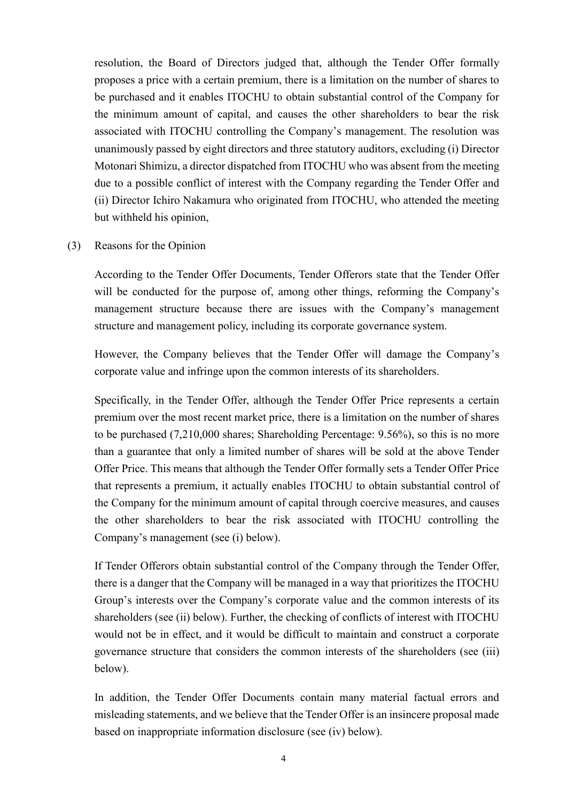resolution, the Board of Directors judged that, although the Tender Offer formally proposes a price with a certain premium, there is a limitation on the number of shares to be purchased and it enables ITOCHU to obtain substantial control of the Company for the minimum amount of capital, and causes the other shareholders to bear the risk associated with ITOCHU controlling the Company's management. The resolution was unanimously passed by eight directors and three statutory auditors, excluding (i) Director Motonari Shimizu, a director dispatched from ITOCHU who was absent from the meeting due to a possible conflict of interest with the Company regarding the Tender Offer and (ii) Director Ichiro Nakamura who originated from ITOCHU, who attended the meeting but withheld his opinion,

#### (3) Reasons for the Opinion

According to the Tender Offer Documents, Tender Offerors state that the Tender Offer will be conducted for the purpose of, among other things, reforming the Company's management structure because there are issues with the Company's management structure and management policy, including its corporate governance system.

However, the Company believes that the Tender Offer will damage the Company's corporate value and infringe upon the common interests of its shareholders.

Specifically, in the Tender Offer, although the Tender Offer Price represents a certain premium over the most recent market price, there is a limitation on the number of shares to be purchased (7,210,000 shares; Shareholding Percentage: 9.56%), so this is no more than a guarantee that only a limited number of shares will be sold at the above Tender Offer Price. This means that although the Tender Offer formally sets a Tender Offer Price that represents a premium, it actually enables ITOCHU to obtain substantial control of the Company for the minimum amount of capital through coercive measures, and causes the other shareholders to bear the risk associated with ITOCHU controlling the Company's management (see (i) below).

If Tender Offerors obtain substantial control of the Company through the Tender Offer, there is a danger that the Company will be managed in a way that prioritizes the ITOCHU Group's interests over the Company's corporate value and the common interests of its shareholders (see (ii) below). Further, the checking of conflicts of interest with ITOCHU would not be in effect, and it would be difficult to maintain and construct a corporate governance structure that considers the common interests of the shareholders (see (iii) below).

In addition, the Tender Offer Documents contain many material factual errors and misleading statements, and we believe that the Tender Offer is an insincere proposal made based on inappropriate information disclosure (see (iv) below).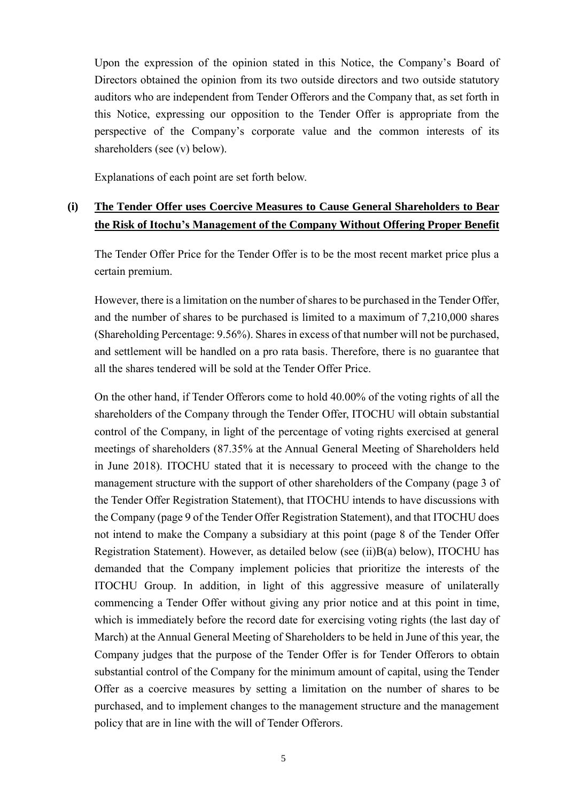Upon the expression of the opinion stated in this Notice, the Company's Board of Directors obtained the opinion from its two outside directors and two outside statutory auditors who are independent from Tender Offerors and the Company that, as set forth in this Notice, expressing our opposition to the Tender Offer is appropriate from the perspective of the Company's corporate value and the common interests of its shareholders (see (v) below).

Explanations of each point are set forth below.

### **(i) The Tender Offer uses Coercive Measures to Cause General Shareholders to Bear the Risk of Itochu's Management of the Company Without Offering Proper Benefit**

The Tender Offer Price for the Tender Offer is to be the most recent market price plus a certain premium.

However, there is a limitation on the number of shares to be purchased in the Tender Offer, and the number of shares to be purchased is limited to a maximum of 7,210,000 shares (Shareholding Percentage: 9.56%). Shares in excess of that number will not be purchased, and settlement will be handled on a pro rata basis. Therefore, there is no guarantee that all the shares tendered will be sold at the Tender Offer Price.

On the other hand, if Tender Offerors come to hold 40.00% of the voting rights of all the shareholders of the Company through the Tender Offer, ITOCHU will obtain substantial control of the Company, in light of the percentage of voting rights exercised at general meetings of shareholders (87.35% at the Annual General Meeting of Shareholders held in June 2018). ITOCHU stated that it is necessary to proceed with the change to the management structure with the support of other shareholders of the Company (page 3 of the Tender Offer Registration Statement), that ITOCHU intends to have discussions with the Company (page 9 of the Tender Offer Registration Statement), and that ITOCHU does not intend to make the Company a subsidiary at this point (page 8 of the Tender Offer Registration Statement). However, as detailed below (see (ii)B(a) below), ITOCHU has demanded that the Company implement policies that prioritize the interests of the ITOCHU Group. In addition, in light of this aggressive measure of unilaterally commencing a Tender Offer without giving any prior notice and at this point in time, which is immediately before the record date for exercising voting rights (the last day of March) at the Annual General Meeting of Shareholders to be held in June of this year, the Company judges that the purpose of the Tender Offer is for Tender Offerors to obtain substantial control of the Company for the minimum amount of capital, using the Tender Offer as a coercive measures by setting a limitation on the number of shares to be purchased, and to implement changes to the management structure and the management policy that are in line with the will of Tender Offerors.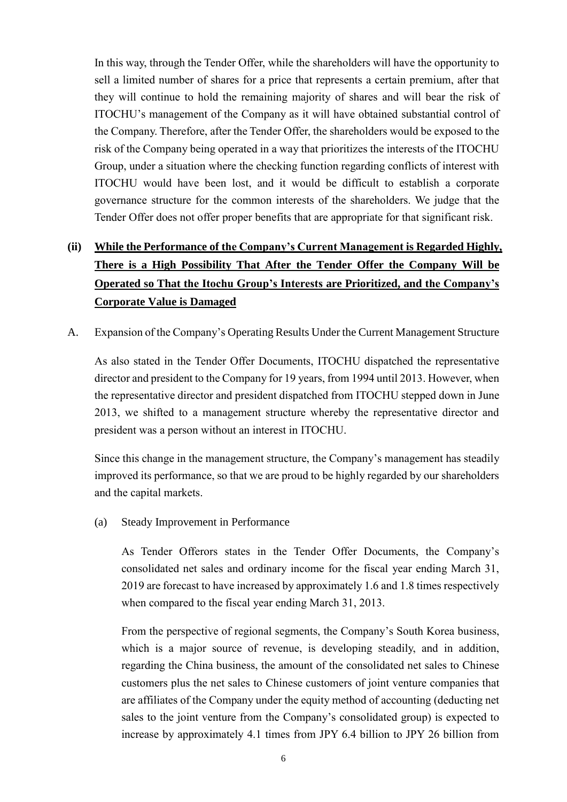In this way, through the Tender Offer, while the shareholders will have the opportunity to sell a limited number of shares for a price that represents a certain premium, after that they will continue to hold the remaining majority of shares and will bear the risk of ITOCHU's management of the Company as it will have obtained substantial control of the Company. Therefore, after the Tender Offer, the shareholders would be exposed to the risk of the Company being operated in a way that prioritizes the interests of the ITOCHU Group, under a situation where the checking function regarding conflicts of interest with ITOCHU would have been lost, and it would be difficult to establish a corporate governance structure for the common interests of the shareholders. We judge that the Tender Offer does not offer proper benefits that are appropriate for that significant risk.

# **(ii) While the Performance of the Company's Current Management is Regarded Highly, There is a High Possibility That After the Tender Offer the Company Will be Operated so That the Itochu Group's Interests are Prioritized, and the Company's Corporate Value is Damaged**

A. Expansion of the Company's Operating Results Under the Current Management Structure

As also stated in the Tender Offer Documents, ITOCHU dispatched the representative director and president to the Company for 19 years, from 1994 until 2013. However, when the representative director and president dispatched from ITOCHU stepped down in June 2013, we shifted to a management structure whereby the representative director and president was a person without an interest in ITOCHU.

Since this change in the management structure, the Company's management has steadily improved its performance, so that we are proud to be highly regarded by our shareholders and the capital markets.

(a) Steady Improvement in Performance

As Tender Offerors states in the Tender Offer Documents, the Company's consolidated net sales and ordinary income for the fiscal year ending March 31, 2019 are forecast to have increased by approximately 1.6 and 1.8 times respectively when compared to the fiscal year ending March 31, 2013.

From the perspective of regional segments, the Company's South Korea business, which is a major source of revenue, is developing steadily, and in addition, regarding the China business, the amount of the consolidated net sales to Chinese customers plus the net sales to Chinese customers of joint venture companies that are affiliates of the Company under the equity method of accounting (deducting net sales to the joint venture from the Company's consolidated group) is expected to increase by approximately 4.1 times from JPY 6.4 billion to JPY 26 billion from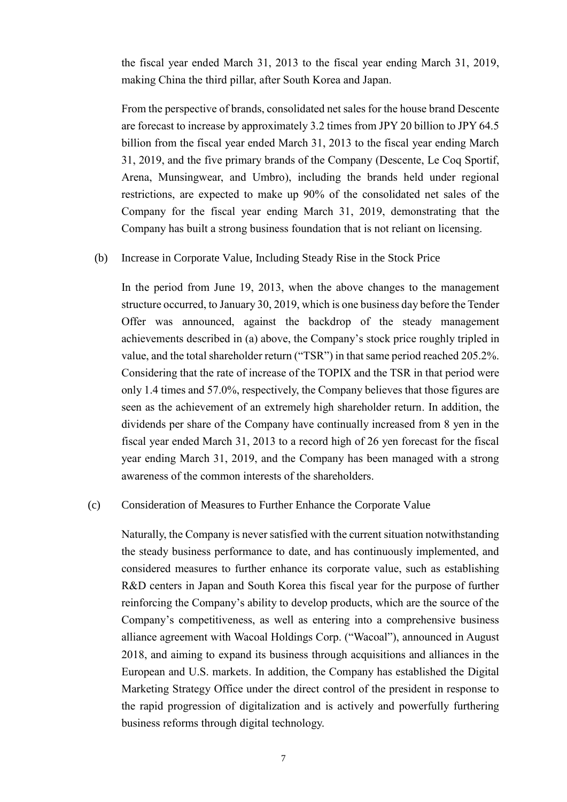the fiscal year ended March 31, 2013 to the fiscal year ending March 31, 2019, making China the third pillar, after South Korea and Japan.

From the perspective of brands, consolidated net sales for the house brand Descente are forecast to increase by approximately 3.2 times from JPY 20 billion to JPY 64.5 billion from the fiscal year ended March 31, 2013 to the fiscal year ending March 31, 2019, and the five primary brands of the Company (Descente, Le Coq Sportif, Arena, Munsingwear, and Umbro), including the brands held under regional restrictions, are expected to make up 90% of the consolidated net sales of the Company for the fiscal year ending March 31, 2019, demonstrating that the Company has built a strong business foundation that is not reliant on licensing.

#### (b) Increase in Corporate Value, Including Steady Rise in the Stock Price

In the period from June 19, 2013, when the above changes to the management structure occurred, to January 30, 2019, which is one business day before the Tender Offer was announced, against the backdrop of the steady management achievements described in (a) above, the Company's stock price roughly tripled in value, and the total shareholder return ("TSR") in that same period reached 205.2%. Considering that the rate of increase of the TOPIX and the TSR in that period were only 1.4 times and 57.0%, respectively, the Company believes that those figures are seen as the achievement of an extremely high shareholder return. In addition, the dividends per share of the Company have continually increased from 8 yen in the fiscal year ended March 31, 2013 to a record high of 26 yen forecast for the fiscal year ending March 31, 2019, and the Company has been managed with a strong awareness of the common interests of the shareholders.

#### (c) Consideration of Measures to Further Enhance the Corporate Value

Naturally, the Company is never satisfied with the current situation notwithstanding the steady business performance to date, and has continuously implemented, and considered measures to further enhance its corporate value, such as establishing R&D centers in Japan and South Korea this fiscal year for the purpose of further reinforcing the Company's ability to develop products, which are the source of the Company's competitiveness, as well as entering into a comprehensive business alliance agreement with Wacoal Holdings Corp. ("Wacoal"), announced in August 2018, and aiming to expand its business through acquisitions and alliances in the European and U.S. markets. In addition, the Company has established the Digital Marketing Strategy Office under the direct control of the president in response to the rapid progression of digitalization and is actively and powerfully furthering business reforms through digital technology.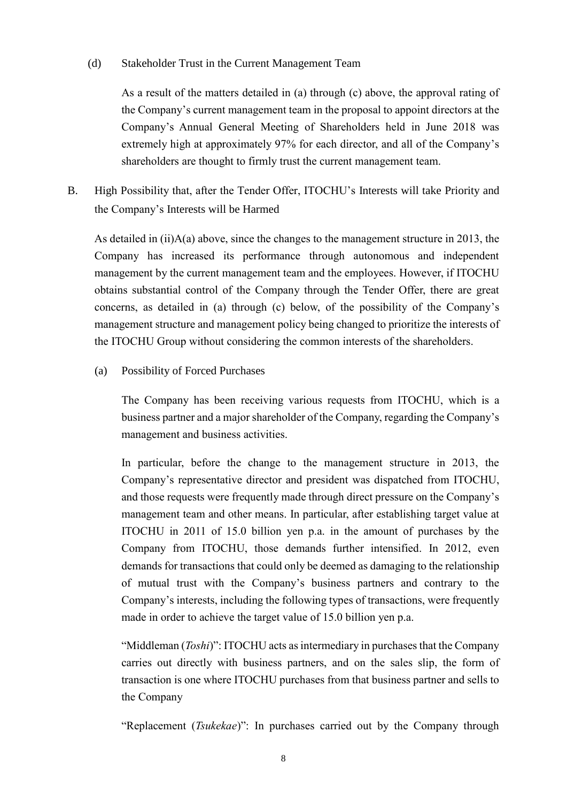#### (d) Stakeholder Trust in the Current Management Team

As a result of the matters detailed in (a) through (c) above, the approval rating of the Company's current management team in the proposal to appoint directors at the Company's Annual General Meeting of Shareholders held in June 2018 was extremely high at approximately 97% for each director, and all of the Company's shareholders are thought to firmly trust the current management team.

B. High Possibility that, after the Tender Offer, ITOCHU's Interests will take Priority and the Company's Interests will be Harmed

As detailed in (ii)A(a) above, since the changes to the management structure in 2013, the Company has increased its performance through autonomous and independent management by the current management team and the employees. However, if ITOCHU obtains substantial control of the Company through the Tender Offer, there are great concerns, as detailed in (a) through (c) below, of the possibility of the Company's management structure and management policy being changed to prioritize the interests of the ITOCHU Group without considering the common interests of the shareholders.

(a) Possibility of Forced Purchases

The Company has been receiving various requests from ITOCHU, which is a business partner and a major shareholder of the Company, regarding the Company's management and business activities.

In particular, before the change to the management structure in 2013, the Company's representative director and president was dispatched from ITOCHU, and those requests were frequently made through direct pressure on the Company's management team and other means. In particular, after establishing target value at ITOCHU in 2011 of 15.0 billion yen p.a. in the amount of purchases by the Company from ITOCHU, those demands further intensified. In 2012, even demands for transactions that could only be deemed as damaging to the relationship of mutual trust with the Company's business partners and contrary to the Company's interests, including the following types of transactions, were frequently made in order to achieve the target value of 15.0 billion yen p.a.

"Middleman (*Toshi*)": ITOCHU acts as intermediary in purchases that the Company carries out directly with business partners, and on the sales slip, the form of transaction is one where ITOCHU purchases from that business partner and sells to the Company

"Replacement (*Tsukekae*)": In purchases carried out by the Company through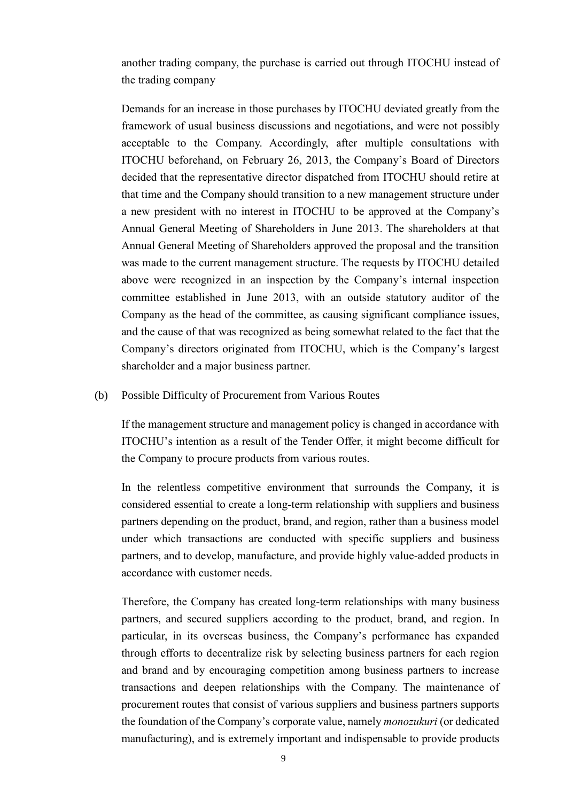another trading company, the purchase is carried out through ITOCHU instead of the trading company

Demands for an increase in those purchases by ITOCHU deviated greatly from the framework of usual business discussions and negotiations, and were not possibly acceptable to the Company. Accordingly, after multiple consultations with ITOCHU beforehand, on February 26, 2013, the Company's Board of Directors decided that the representative director dispatched from ITOCHU should retire at that time and the Company should transition to a new management structure under a new president with no interest in ITOCHU to be approved at the Company's Annual General Meeting of Shareholders in June 2013. The shareholders at that Annual General Meeting of Shareholders approved the proposal and the transition was made to the current management structure. The requests by ITOCHU detailed above were recognized in an inspection by the Company's internal inspection committee established in June 2013, with an outside statutory auditor of the Company as the head of the committee, as causing significant compliance issues, and the cause of that was recognized as being somewhat related to the fact that the Company's directors originated from ITOCHU, which is the Company's largest shareholder and a major business partner.

#### (b) Possible Difficulty of Procurement from Various Routes

If the management structure and management policy is changed in accordance with ITOCHU's intention as a result of the Tender Offer, it might become difficult for the Company to procure products from various routes.

In the relentless competitive environment that surrounds the Company, it is considered essential to create a long-term relationship with suppliers and business partners depending on the product, brand, and region, rather than a business model under which transactions are conducted with specific suppliers and business partners, and to develop, manufacture, and provide highly value-added products in accordance with customer needs.

Therefore, the Company has created long-term relationships with many business partners, and secured suppliers according to the product, brand, and region. In particular, in its overseas business, the Company's performance has expanded through efforts to decentralize risk by selecting business partners for each region and brand and by encouraging competition among business partners to increase transactions and deepen relationships with the Company. The maintenance of procurement routes that consist of various suppliers and business partners supports the foundation of the Company's corporate value, namely *monozukuri* (or dedicated manufacturing), and is extremely important and indispensable to provide products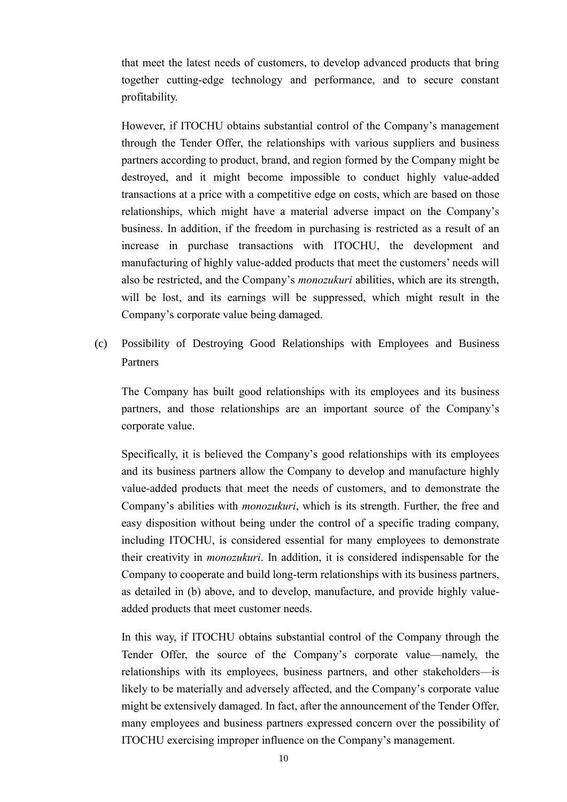that meet the latest needs of customers, to develop advanced products that bring together cutting-edge technology and performance, and to secure constant profitability.

However, if ITOCHU obtains substantial control of the Company's management through the Tender Offer, the relationships with various suppliers and business partners according to product, brand, and region formed by the Company might be destroyed, and it might become impossible to conduct highly value-added transactions at a price with a competitive edge on costs, which are based on those relationships, which might have a material adverse impact on the Company's business. In addition, if the freedom in purchasing is restricted as a result of an increase in purchase transactions with ITOCHU, the development and manufacturing of highly value-added products that meet the customers' needs will also be restricted, and the Company's *monozukuri* abilities, which are its strength, will be lost, and its earnings will be suppressed, which might result in the Company's corporate value being damaged.

(c) Possibility of Destroying Good Relationships with Employees and Business Partners

The Company has built good relationships with its employees and its business partners, and those relationships are an important source of the Company's corporate value.

Specifically, it is believed the Company's good relationships with its employees and its business partners allow the Company to develop and manufacture highly value-added products that meet the needs of customers, and to demonstrate the Company's abilities with *monozukuri*, which is its strength. Further, the free and easy disposition without being under the control of a specific trading company, including ITOCHU, is considered essential for many employees to demonstrate their creativity in *monozukuri*. In addition, it is considered indispensable for the Company to cooperate and build long-term relationships with its business partners, as detailed in (b) above, and to develop, manufacture, and provide highly valueadded products that meet customer needs.

In this way, if ITOCHU obtains substantial control of the Company through the Tender Offer, the source of the Company's corporate value—namely, the relationships with its employees, business partners, and other stakeholders—is likely to be materially and adversely affected, and the Company's corporate value might be extensively damaged. In fact, after the announcement of the Tender Offer, many employees and business partners expressed concern over the possibility of ITOCHU exercising improper influence on the Company's management.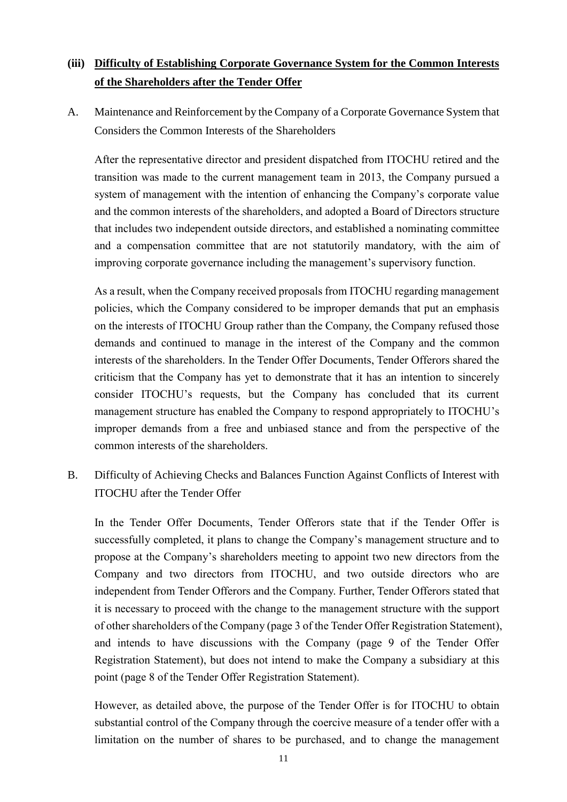# **(iii) Difficulty of Establishing Corporate Governance System for the Common Interests of the Shareholders after the Tender Offer**

A. Maintenance and Reinforcement by the Company of a Corporate Governance System that Considers the Common Interests of the Shareholders

After the representative director and president dispatched from ITOCHU retired and the transition was made to the current management team in 2013, the Company pursued a system of management with the intention of enhancing the Company's corporate value and the common interests of the shareholders, and adopted a Board of Directors structure that includes two independent outside directors, and established a nominating committee and a compensation committee that are not statutorily mandatory, with the aim of improving corporate governance including the management's supervisory function.

As a result, when the Company received proposals from ITOCHU regarding management policies, which the Company considered to be improper demands that put an emphasis on the interests of ITOCHU Group rather than the Company, the Company refused those demands and continued to manage in the interest of the Company and the common interests of the shareholders. In the Tender Offer Documents, Tender Offerors shared the criticism that the Company has yet to demonstrate that it has an intention to sincerely consider ITOCHU's requests, but the Company has concluded that its current management structure has enabled the Company to respond appropriately to ITOCHU's improper demands from a free and unbiased stance and from the perspective of the common interests of the shareholders.

B. Difficulty of Achieving Checks and Balances Function Against Conflicts of Interest with ITOCHU after the Tender Offer

In the Tender Offer Documents, Tender Offerors state that if the Tender Offer is successfully completed, it plans to change the Company's management structure and to propose at the Company's shareholders meeting to appoint two new directors from the Company and two directors from ITOCHU, and two outside directors who are independent from Tender Offerors and the Company. Further, Tender Offerors stated that it is necessary to proceed with the change to the management structure with the support of other shareholders of the Company (page 3 of the Tender Offer Registration Statement), and intends to have discussions with the Company (page 9 of the Tender Offer Registration Statement), but does not intend to make the Company a subsidiary at this point (page 8 of the Tender Offer Registration Statement).

However, as detailed above, the purpose of the Tender Offer is for ITOCHU to obtain substantial control of the Company through the coercive measure of a tender offer with a limitation on the number of shares to be purchased, and to change the management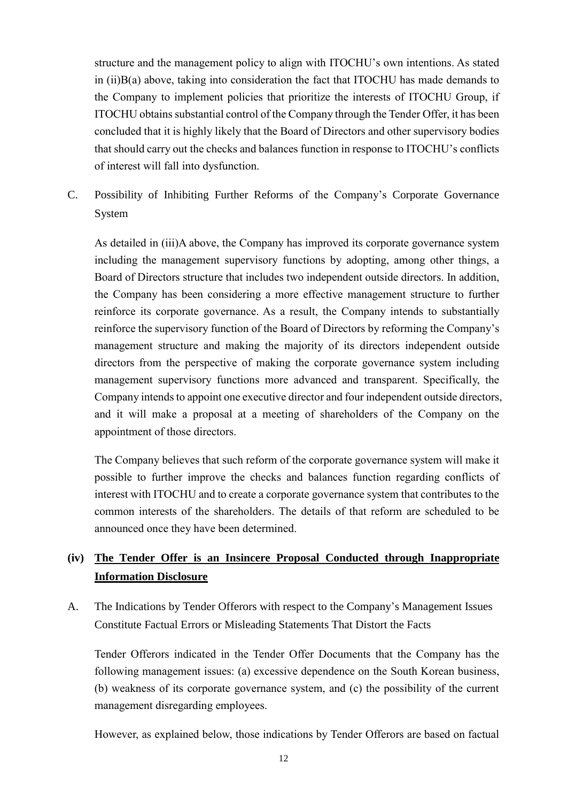structure and the management policy to align with ITOCHU's own intentions. As stated in (ii)B(a) above, taking into consideration the fact that ITOCHU has made demands to the Company to implement policies that prioritize the interests of ITOCHU Group, if ITOCHU obtains substantial control of the Company through the Tender Offer, it has been concluded that it is highly likely that the Board of Directors and other supervisory bodies that should carry out the checks and balances function in response to ITOCHU's conflicts of interest will fall into dysfunction.

C. Possibility of Inhibiting Further Reforms of the Company's Corporate Governance System

As detailed in (iii)A above, the Company has improved its corporate governance system including the management supervisory functions by adopting, among other things, a Board of Directors structure that includes two independent outside directors. In addition, the Company has been considering a more effective management structure to further reinforce its corporate governance. As a result, the Company intends to substantially reinforce the supervisory function of the Board of Directors by reforming the Company's management structure and making the majority of its directors independent outside directors from the perspective of making the corporate governance system including management supervisory functions more advanced and transparent. Specifically, the Company intends to appoint one executive director and four independent outside directors, and it will make a proposal at a meeting of shareholders of the Company on the appointment of those directors.

The Company believes that such reform of the corporate governance system will make it possible to further improve the checks and balances function regarding conflicts of interest with ITOCHU and to create a corporate governance system that contributes to the common interests of the shareholders. The details of that reform are scheduled to be announced once they have been determined.

# **(iv) The Tender Offer is an Insincere Proposal Conducted through Inappropriate Information Disclosure**

A. The Indications by Tender Offerors with respect to the Company's Management Issues Constitute Factual Errors or Misleading Statements That Distort the Facts

Tender Offerors indicated in the Tender Offer Documents that the Company has the following management issues: (a) excessive dependence on the South Korean business, (b) weakness of its corporate governance system, and (c) the possibility of the current management disregarding employees.

However, as explained below, those indications by Tender Offerors are based on factual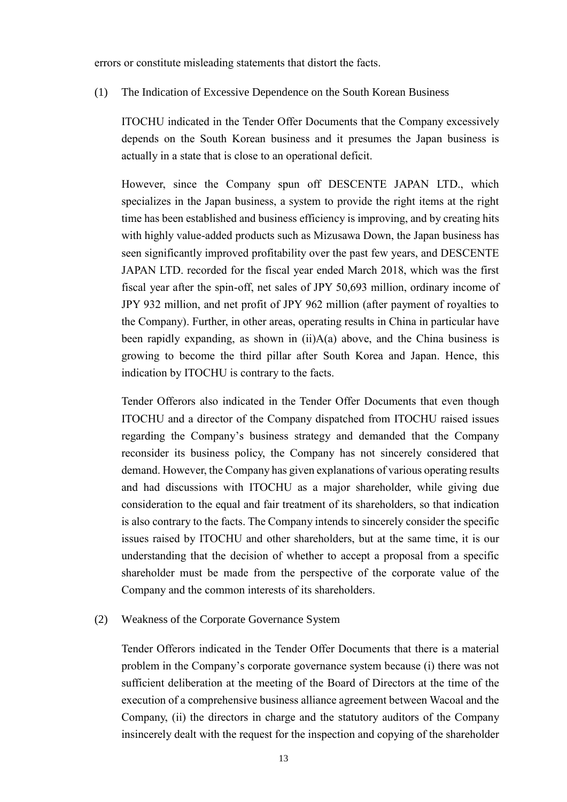errors or constitute misleading statements that distort the facts.

(1) The Indication of Excessive Dependence on the South Korean Business

ITOCHU indicated in the Tender Offer Documents that the Company excessively depends on the South Korean business and it presumes the Japan business is actually in a state that is close to an operational deficit.

However, since the Company spun off DESCENTE JAPAN LTD., which specializes in the Japan business, a system to provide the right items at the right time has been established and business efficiency is improving, and by creating hits with highly value-added products such as Mizusawa Down, the Japan business has seen significantly improved profitability over the past few years, and DESCENTE JAPAN LTD. recorded for the fiscal year ended March 2018, which was the first fiscal year after the spin-off, net sales of JPY 50,693 million, ordinary income of JPY 932 million, and net profit of JPY 962 million (after payment of royalties to the Company). Further, in other areas, operating results in China in particular have been rapidly expanding, as shown in  $(ii)A(a)$  above, and the China business is growing to become the third pillar after South Korea and Japan. Hence, this indication by ITOCHU is contrary to the facts.

Tender Offerors also indicated in the Tender Offer Documents that even though ITOCHU and a director of the Company dispatched from ITOCHU raised issues regarding the Company's business strategy and demanded that the Company reconsider its business policy, the Company has not sincerely considered that demand. However, the Company has given explanations of various operating results and had discussions with ITOCHU as a major shareholder, while giving due consideration to the equal and fair treatment of its shareholders, so that indication is also contrary to the facts. The Company intends to sincerely consider the specific issues raised by ITOCHU and other shareholders, but at the same time, it is our understanding that the decision of whether to accept a proposal from a specific shareholder must be made from the perspective of the corporate value of the Company and the common interests of its shareholders.

#### (2) Weakness of the Corporate Governance System

Tender Offerors indicated in the Tender Offer Documents that there is a material problem in the Company's corporate governance system because (i) there was not sufficient deliberation at the meeting of the Board of Directors at the time of the execution of a comprehensive business alliance agreement between Wacoal and the Company, (ii) the directors in charge and the statutory auditors of the Company insincerely dealt with the request for the inspection and copying of the shareholder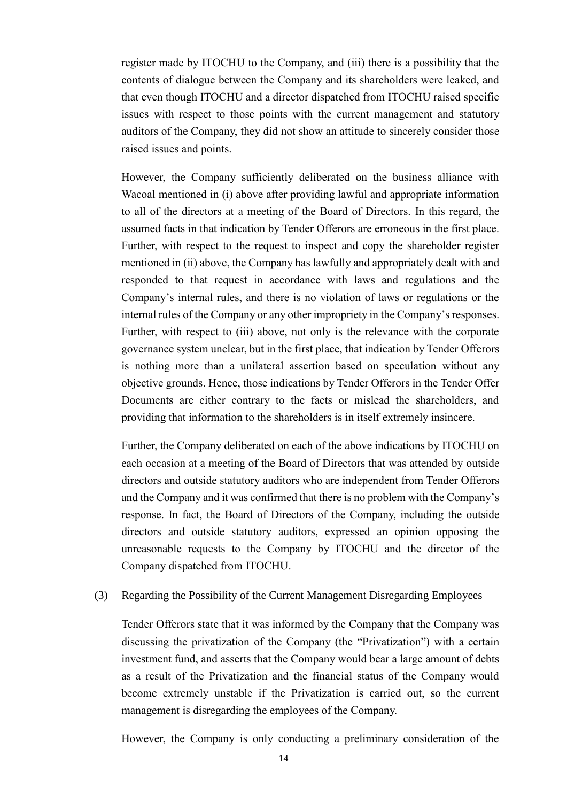register made by ITOCHU to the Company, and (iii) there is a possibility that the contents of dialogue between the Company and its shareholders were leaked, and that even though ITOCHU and a director dispatched from ITOCHU raised specific issues with respect to those points with the current management and statutory auditors of the Company, they did not show an attitude to sincerely consider those raised issues and points.

However, the Company sufficiently deliberated on the business alliance with Wacoal mentioned in (i) above after providing lawful and appropriate information to all of the directors at a meeting of the Board of Directors. In this regard, the assumed facts in that indication by Tender Offerors are erroneous in the first place. Further, with respect to the request to inspect and copy the shareholder register mentioned in (ii) above, the Company has lawfully and appropriately dealt with and responded to that request in accordance with laws and regulations and the Company's internal rules, and there is no violation of laws or regulations or the internal rules of the Company or any other impropriety in the Company's responses. Further, with respect to (iii) above, not only is the relevance with the corporate governance system unclear, but in the first place, that indication by Tender Offerors is nothing more than a unilateral assertion based on speculation without any objective grounds. Hence, those indications by Tender Offerors in the Tender Offer Documents are either contrary to the facts or mislead the shareholders, and providing that information to the shareholders is in itself extremely insincere.

Further, the Company deliberated on each of the above indications by ITOCHU on each occasion at a meeting of the Board of Directors that was attended by outside directors and outside statutory auditors who are independent from Tender Offerors and the Company and it was confirmed that there is no problem with the Company's response. In fact, the Board of Directors of the Company, including the outside directors and outside statutory auditors, expressed an opinion opposing the unreasonable requests to the Company by ITOCHU and the director of the Company dispatched from ITOCHU.

#### (3) Regarding the Possibility of the Current Management Disregarding Employees

Tender Offerors state that it was informed by the Company that the Company was discussing the privatization of the Company (the "Privatization") with a certain investment fund, and asserts that the Company would bear a large amount of debts as a result of the Privatization and the financial status of the Company would become extremely unstable if the Privatization is carried out, so the current management is disregarding the employees of the Company.

However, the Company is only conducting a preliminary consideration of the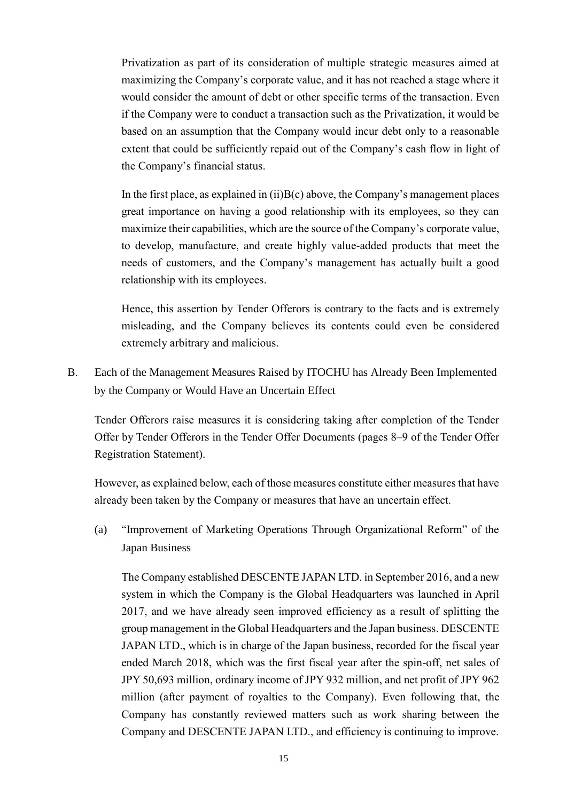Privatization as part of its consideration of multiple strategic measures aimed at maximizing the Company's corporate value, and it has not reached a stage where it would consider the amount of debt or other specific terms of the transaction. Even if the Company were to conduct a transaction such as the Privatization, it would be based on an assumption that the Company would incur debt only to a reasonable extent that could be sufficiently repaid out of the Company's cash flow in light of the Company's financial status.

In the first place, as explained in  $(ii)B(c)$  above, the Company's management places great importance on having a good relationship with its employees, so they can maximize their capabilities, which are the source of the Company's corporate value, to develop, manufacture, and create highly value-added products that meet the needs of customers, and the Company's management has actually built a good relationship with its employees.

Hence, this assertion by Tender Offerors is contrary to the facts and is extremely misleading, and the Company believes its contents could even be considered extremely arbitrary and malicious.

B. Each of the Management Measures Raised by ITOCHU has Already Been Implemented by the Company or Would Have an Uncertain Effect

Tender Offerors raise measures it is considering taking after completion of the Tender Offer by Tender Offerors in the Tender Offer Documents (pages 8–9 of the Tender Offer Registration Statement).

However, as explained below, each of those measures constitute either measures that have already been taken by the Company or measures that have an uncertain effect.

(a) "Improvement of Marketing Operations Through Organizational Reform" of the Japan Business

The Company established DESCENTE JAPAN LTD. in September 2016, and a new system in which the Company is the Global Headquarters was launched in April 2017, and we have already seen improved efficiency as a result of splitting the group management in the Global Headquarters and the Japan business. DESCENTE JAPAN LTD., which is in charge of the Japan business, recorded for the fiscal year ended March 2018, which was the first fiscal year after the spin-off, net sales of JPY 50,693 million, ordinary income of JPY 932 million, and net profit of JPY 962 million (after payment of royalties to the Company). Even following that, the Company has constantly reviewed matters such as work sharing between the Company and DESCENTE JAPAN LTD., and efficiency is continuing to improve.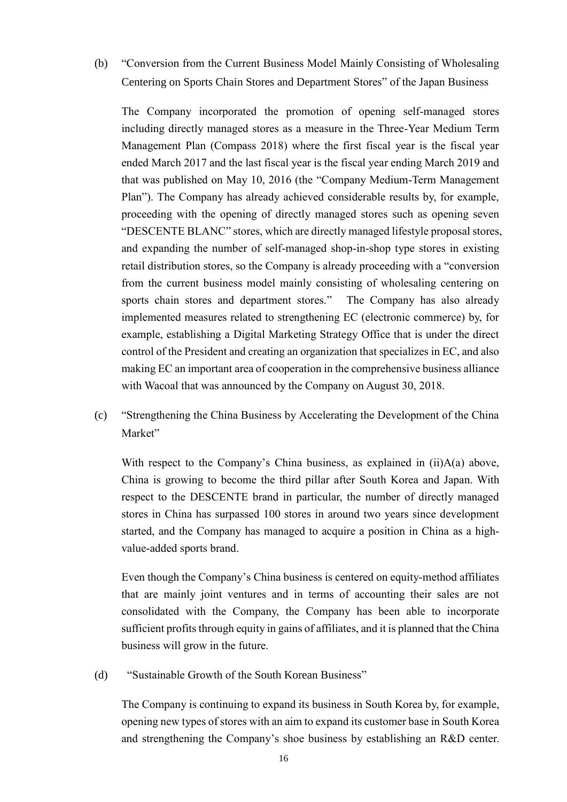(b) "Conversion from the Current Business Model Mainly Consisting of Wholesaling Centering on Sports Chain Stores and Department Stores" of the Japan Business

The Company incorporated the promotion of opening self-managed stores including directly managed stores as a measure in the Three-Year Medium Term Management Plan (Compass 2018) where the first fiscal year is the fiscal year ended March 2017 and the last fiscal year is the fiscal year ending March 2019 and that was published on May 10, 2016 (the "Company Medium-Term Management Plan"). The Company has already achieved considerable results by, for example, proceeding with the opening of directly managed stores such as opening seven "DESCENTE BLANC" stores, which are directly managed lifestyle proposal stores, and expanding the number of self-managed shop-in-shop type stores in existing retail distribution stores, so the Company is already proceeding with a "conversion from the current business model mainly consisting of wholesaling centering on sports chain stores and department stores." The Company has also already implemented measures related to strengthening EC (electronic commerce) by, for example, establishing a Digital Marketing Strategy Office that is under the direct control of the President and creating an organization that specializes in EC, and also making EC an important area of cooperation in the comprehensive business alliance with Wacoal that was announced by the Company on August 30, 2018.

(c) "Strengthening the China Business by Accelerating the Development of the China Market"

With respect to the Company's China business, as explained in (ii)A(a) above, China is growing to become the third pillar after South Korea and Japan. With respect to the DESCENTE brand in particular, the number of directly managed stores in China has surpassed 100 stores in around two years since development started, and the Company has managed to acquire a position in China as a highvalue-added sports brand.

Even though the Company's China business is centered on equity-method affiliates that are mainly joint ventures and in terms of accounting their sales are not consolidated with the Company, the Company has been able to incorporate sufficient profits through equity in gains of affiliates, and it is planned that the China business will grow in the future.

(d) "Sustainable Growth of the South Korean Business"

The Company is continuing to expand its business in South Korea by, for example, opening new types of stores with an aim to expand its customer base in South Korea and strengthening the Company's shoe business by establishing an R&D center.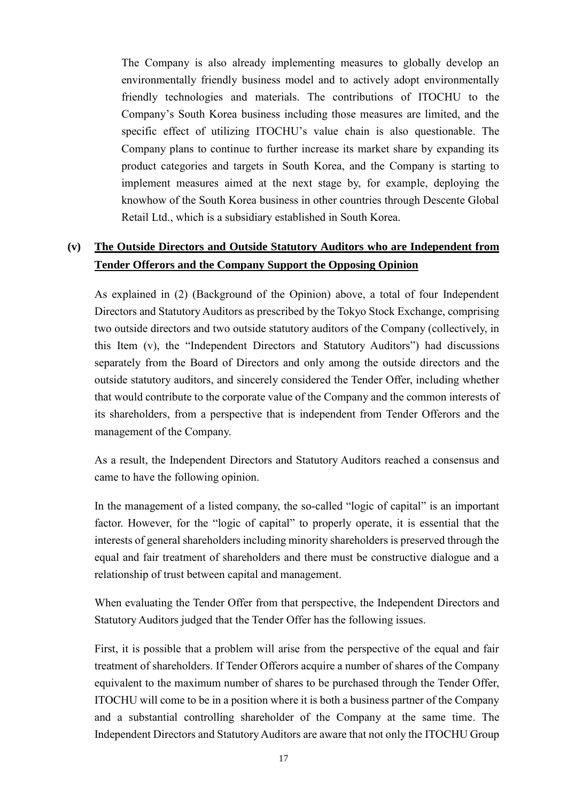The Company is also already implementing measures to globally develop an environmentally friendly business model and to actively adopt environmentally friendly technologies and materials. The contributions of ITOCHU to the Company's South Korea business including those measures are limited, and the specific effect of utilizing ITOCHU's value chain is also questionable. The Company plans to continue to further increase its market share by expanding its product categories and targets in South Korea, and the Company is starting to implement measures aimed at the next stage by, for example, deploying the knowhow of the South Korea business in other countries through Descente Global Retail Ltd., which is a subsidiary established in South Korea.

### **(v) The Outside Directors and Outside Statutory Auditors who are Independent from Tender Offerors and the Company Support the Opposing Opinion**

As explained in (2) (Background of the Opinion) above, a total of four Independent Directors and Statutory Auditors as prescribed by the Tokyo Stock Exchange, comprising two outside directors and two outside statutory auditors of the Company (collectively, in this Item (v), the "Independent Directors and Statutory Auditors") had discussions separately from the Board of Directors and only among the outside directors and the outside statutory auditors, and sincerely considered the Tender Offer, including whether that would contribute to the corporate value of the Company and the common interests of its shareholders, from a perspective that is independent from Tender Offerors and the management of the Company.

As a result, the Independent Directors and Statutory Auditors reached a consensus and came to have the following opinion.

In the management of a listed company, the so-called "logic of capital" is an important factor. However, for the "logic of capital" to properly operate, it is essential that the interests of general shareholders including minority shareholders is preserved through the equal and fair treatment of shareholders and there must be constructive dialogue and a relationship of trust between capital and management.

When evaluating the Tender Offer from that perspective, the Independent Directors and Statutory Auditors judged that the Tender Offer has the following issues.

First, it is possible that a problem will arise from the perspective of the equal and fair treatment of shareholders. If Tender Offerors acquire a number of shares of the Company equivalent to the maximum number of shares to be purchased through the Tender Offer, ITOCHU will come to be in a position where it is both a business partner of the Company and a substantial controlling shareholder of the Company at the same time. The Independent Directors and Statutory Auditors are aware that not only the ITOCHU Group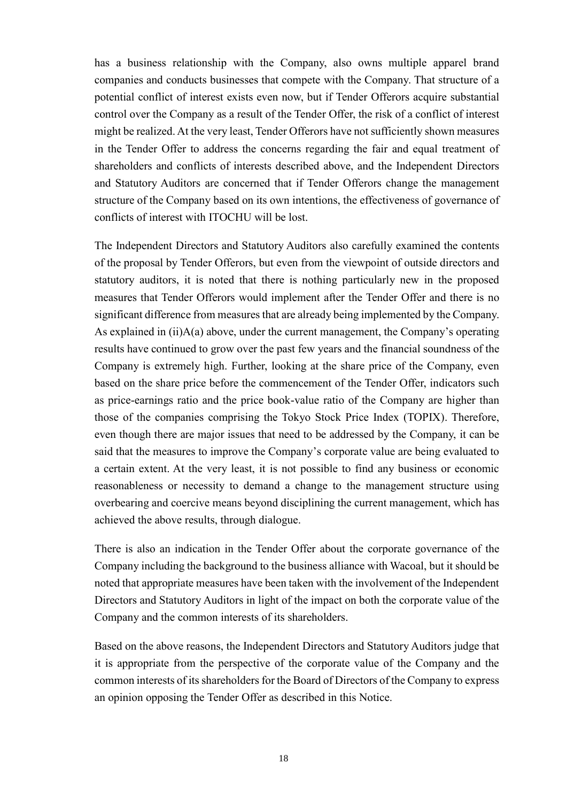has a business relationship with the Company, also owns multiple apparel brand companies and conducts businesses that compete with the Company. That structure of a potential conflict of interest exists even now, but if Tender Offerors acquire substantial control over the Company as a result of the Tender Offer, the risk of a conflict of interest might be realized. At the very least, Tender Offerors have not sufficiently shown measures in the Tender Offer to address the concerns regarding the fair and equal treatment of shareholders and conflicts of interests described above, and the Independent Directors and Statutory Auditors are concerned that if Tender Offerors change the management structure of the Company based on its own intentions, the effectiveness of governance of conflicts of interest with ITOCHU will be lost.

The Independent Directors and Statutory Auditors also carefully examined the contents of the proposal by Tender Offerors, but even from the viewpoint of outside directors and statutory auditors, it is noted that there is nothing particularly new in the proposed measures that Tender Offerors would implement after the Tender Offer and there is no significant difference from measures that are already being implemented by the Company. As explained in  $(ii)$ A(a) above, under the current management, the Company's operating results have continued to grow over the past few years and the financial soundness of the Company is extremely high. Further, looking at the share price of the Company, even based on the share price before the commencement of the Tender Offer, indicators such as price-earnings ratio and the price book-value ratio of the Company are higher than those of the companies comprising the Tokyo Stock Price Index (TOPIX). Therefore, even though there are major issues that need to be addressed by the Company, it can be said that the measures to improve the Company's corporate value are being evaluated to a certain extent. At the very least, it is not possible to find any business or economic reasonableness or necessity to demand a change to the management structure using overbearing and coercive means beyond disciplining the current management, which has achieved the above results, through dialogue.

There is also an indication in the Tender Offer about the corporate governance of the Company including the background to the business alliance with Wacoal, but it should be noted that appropriate measures have been taken with the involvement of the Independent Directors and Statutory Auditors in light of the impact on both the corporate value of the Company and the common interests of its shareholders.

Based on the above reasons, the Independent Directors and Statutory Auditors judge that it is appropriate from the perspective of the corporate value of the Company and the common interests of its shareholders for the Board of Directors of the Company to express an opinion opposing the Tender Offer as described in this Notice.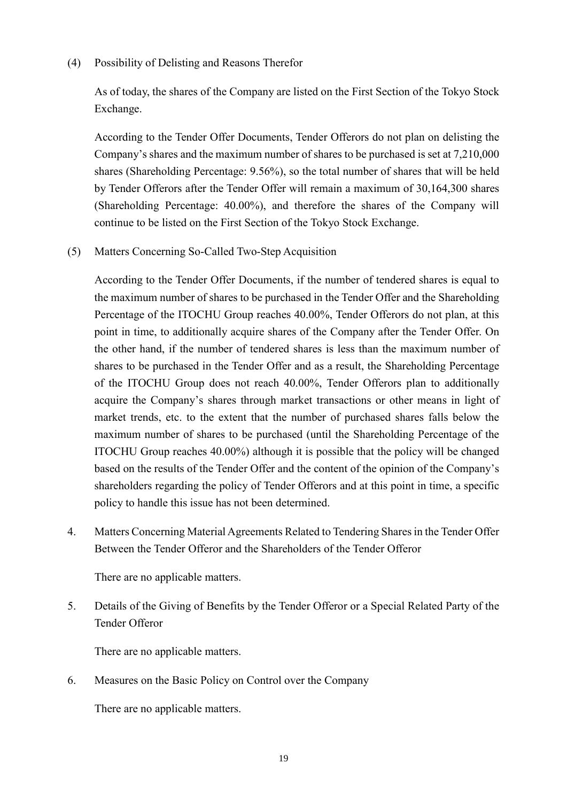#### (4) Possibility of Delisting and Reasons Therefor

As of today, the shares of the Company are listed on the First Section of the Tokyo Stock Exchange.

According to the Tender Offer Documents, Tender Offerors do not plan on delisting the Company's shares and the maximum number of shares to be purchased is set at 7,210,000 shares (Shareholding Percentage: 9.56%), so the total number of shares that will be held by Tender Offerors after the Tender Offer will remain a maximum of 30,164,300 shares (Shareholding Percentage: 40.00%), and therefore the shares of the Company will continue to be listed on the First Section of the Tokyo Stock Exchange.

(5) Matters Concerning So-Called Two-Step Acquisition

According to the Tender Offer Documents, if the number of tendered shares is equal to the maximum number of shares to be purchased in the Tender Offer and the Shareholding Percentage of the ITOCHU Group reaches 40.00%, Tender Offerors do not plan, at this point in time, to additionally acquire shares of the Company after the Tender Offer. On the other hand, if the number of tendered shares is less than the maximum number of shares to be purchased in the Tender Offer and as a result, the Shareholding Percentage of the ITOCHU Group does not reach 40.00%, Tender Offerors plan to additionally acquire the Company's shares through market transactions or other means in light of market trends, etc. to the extent that the number of purchased shares falls below the maximum number of shares to be purchased (until the Shareholding Percentage of the ITOCHU Group reaches 40.00%) although it is possible that the policy will be changed based on the results of the Tender Offer and the content of the opinion of the Company's shareholders regarding the policy of Tender Offerors and at this point in time, a specific policy to handle this issue has not been determined.

4. Matters Concerning Material Agreements Related to Tendering Shares in the Tender Offer Between the Tender Offeror and the Shareholders of the Tender Offeror

There are no applicable matters.

5. Details of the Giving of Benefits by the Tender Offeror or a Special Related Party of the Tender Offeror

There are no applicable matters.

6. Measures on the Basic Policy on Control over the Company

There are no applicable matters.